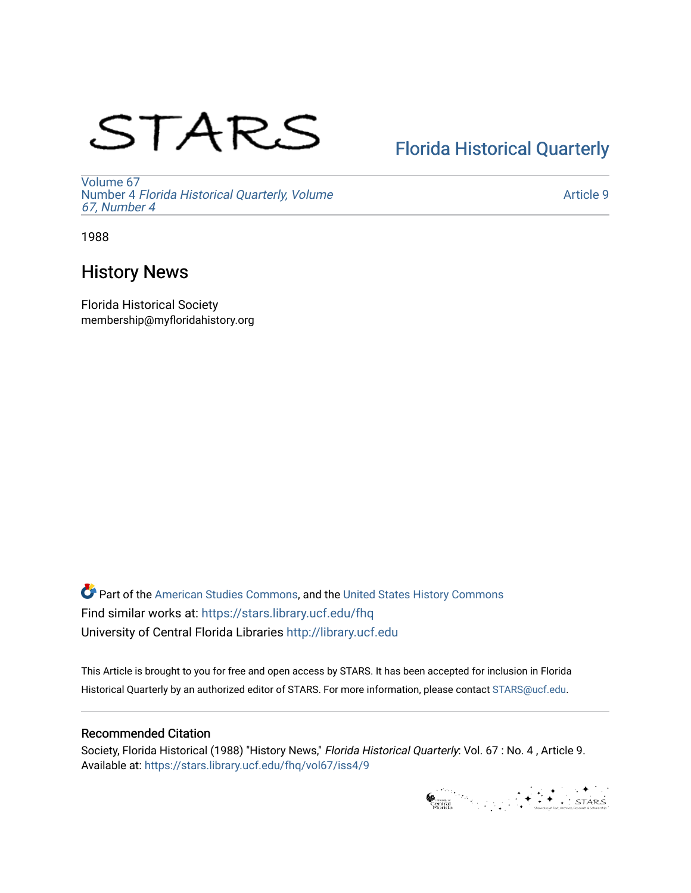# STARS

# [Florida Historical Quarterly](https://stars.library.ucf.edu/fhq)

[Volume 67](https://stars.library.ucf.edu/fhq/vol67) Number 4 [Florida Historical Quarterly, Volume](https://stars.library.ucf.edu/fhq/vol67/iss4)  [67, Number 4](https://stars.library.ucf.edu/fhq/vol67/iss4)

[Article 9](https://stars.library.ucf.edu/fhq/vol67/iss4/9) 

1988

# History News

Florida Historical Society membership@myfloridahistory.org

**C** Part of the [American Studies Commons](http://network.bepress.com/hgg/discipline/439?utm_source=stars.library.ucf.edu%2Ffhq%2Fvol67%2Fiss4%2F9&utm_medium=PDF&utm_campaign=PDFCoverPages), and the United States History Commons Find similar works at: <https://stars.library.ucf.edu/fhq> University of Central Florida Libraries [http://library.ucf.edu](http://library.ucf.edu/) 

This Article is brought to you for free and open access by STARS. It has been accepted for inclusion in Florida Historical Quarterly by an authorized editor of STARS. For more information, please contact [STARS@ucf.edu.](mailto:STARS@ucf.edu)

## Recommended Citation

Society, Florida Historical (1988) "History News," Florida Historical Quarterly: Vol. 67 : No. 4 , Article 9. Available at: [https://stars.library.ucf.edu/fhq/vol67/iss4/9](https://stars.library.ucf.edu/fhq/vol67/iss4/9?utm_source=stars.library.ucf.edu%2Ffhq%2Fvol67%2Fiss4%2F9&utm_medium=PDF&utm_campaign=PDFCoverPages) 

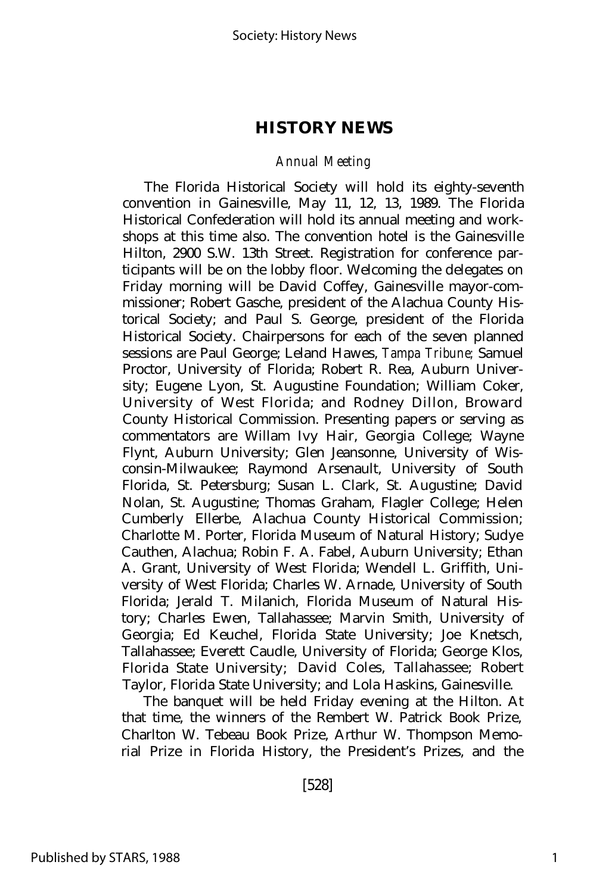#### *Annual Meeting*

The Florida Historical Society will hold its eighty-seventh convention in Gainesville, May 11, 12, 13, 1989. The Florida Historical Confederation will hold its annual meeting and workshops at this time also. The convention hotel is the Gainesville Hilton, 2900 S.W. 13th Street. Registration for conference participants will be on the lobby floor. Welcoming the delegates on Friday morning will be David Coffey, Gainesville mayor-commissioner; Robert Gasche, president of the Alachua County Historical Society; and Paul S. George, president of the Florida Historical Society. Chairpersons for each of the seven planned sessions are Paul George; Leland Hawes, *Tampa Tribune;* Samuel Proctor, University of Florida; Robert R. Rea, Auburn University; Eugene Lyon, St. Augustine Foundation; William Coker, University of West Florida; and Rodney Dillon, Broward County Historical Commission. Presenting papers or serving as commentators are Willam Ivy Hair, Georgia College; Wayne Flynt, Auburn University; Glen Jeansonne, University of Wisconsin-Milwaukee; Raymond Arsenault, University of South Florida, St. Petersburg; Susan L. Clark, St. Augustine; David Nolan, St. Augustine; Thomas Graham, Flagler College; Helen Cumberly Ellerbe, Alachua County Historical Commission; Charlotte M. Porter, Florida Museum of Natural History; Sudye Cauthen, Alachua; Robin F. A. Fabel, Auburn University; Ethan A. Grant, University of West Florida; Wendell L. Griffith, University of West Florida; Charles W. Arnade, University of South Florida; Jerald T. Milanich, Florida Museum of Natural History; Charles Ewen, Tallahassee; Marvin Smith, University of Georgia; Ed Keuchel, Florida State University; Joe Knetsch, Tallahassee; Everett Caudle, University of Florida; George Klos, Florida State University; David Coles, Tallahassee; Robert Taylor, Florida State University; and Lola Haskins, Gainesville.

The banquet will be held Friday evening at the Hilton. At that time, the winners of the Rembert W. Patrick Book Prize, Charlton W. Tebeau Book Prize, Arthur W. Thompson Memorial Prize in Florida History, the President's Prizes, and the

[528]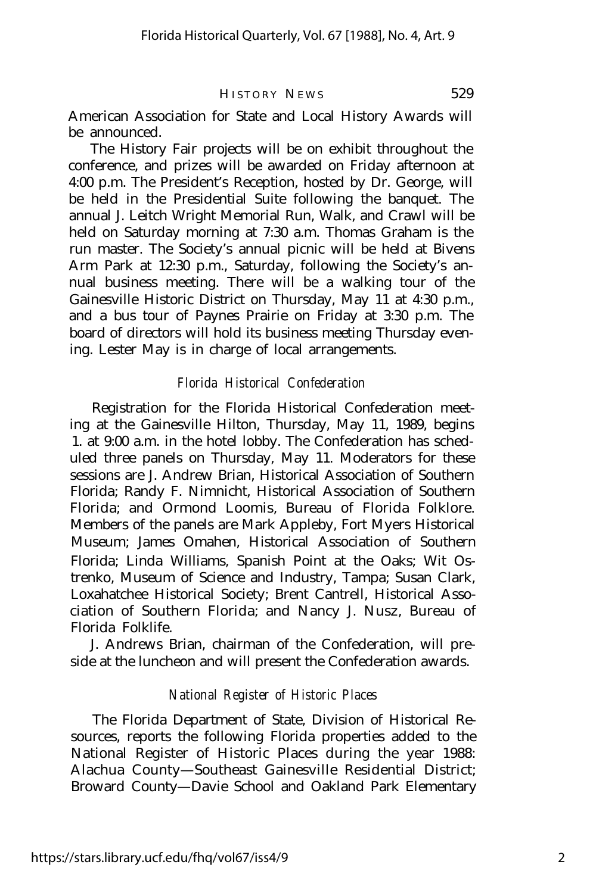American Association for State and Local History Awards will be announced.

The History Fair projects will be on exhibit throughout the conference, and prizes will be awarded on Friday afternoon at 4:00 p.m. The President's Reception, hosted by Dr. George, will be held in the Presidential Suite following the banquet. The annual J. Leitch Wright Memorial Run, Walk, and Crawl will be held on Saturday morning at 7:30 a.m. Thomas Graham is the run master. The Society's annual picnic will be held at Bivens Arm Park at 12:30 p.m., Saturday, following the Society's annual business meeting. There will be a walking tour of the Gainesville Historic District on Thursday, May 11 at 4:30 p.m., and a bus tour of Paynes Prairie on Friday at 3:30 p.m. The board of directors will hold its business meeting Thursday evening. Lester May is in charge of local arrangements.

### *Florida Historical Confederation*

Registration for the Florida Historical Confederation meeting at the Gainesville Hilton, Thursday, May 11, 1989, begins 1. at 9:00 a.m. in the hotel lobby. The Confederation has scheduled three panels on Thursday, May 11. Moderators for these sessions are J. Andrew Brian, Historical Association of Southern Florida; Randy F. Nimnicht, Historical Association of Southern Florida; and Ormond Loomis, Bureau of Florida Folklore. Members of the panels are Mark Appleby, Fort Myers Historical Museum; James Omahen, Historical Association of Southern Florida; Linda Williams, Spanish Point at the Oaks; Wit Ostrenko, Museum of Science and Industry, Tampa; Susan Clark, Loxahatchee Historical Society; Brent Cantrell, Historical Association of Southern Florida; and Nancy J. Nusz, Bureau of Florida Folklife.

J. Andrews Brian, chairman of the Confederation, will preside at the luncheon and will present the Confederation awards.

#### *National Register of Historic Places*

The Florida Department of State, Division of Historical Resources, reports the following Florida properties added to the National Register of Historic Places during the year 1988: Alachua County— Southeast Gainesville Residential District; Broward County— Davie School and Oakland Park Elementary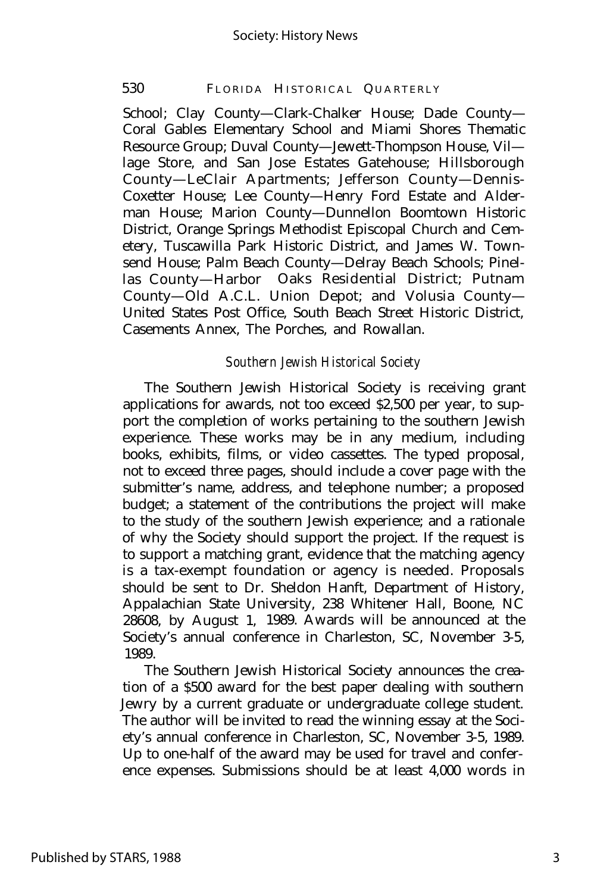#### 530 FLORIDA HISTORICAL QUARTERLY

School; Clay County— Clark-Chalker House; Dade County— Coral Gables Elementary School and Miami Shores Thematic Resource Group; Duval County— Jewett-Thompson House, Vil lage Store, and San Jose Estates Gatehouse; Hillsborough County— LeClair Apartments; Jefferson County— Dennis-Coxetter House; Lee County— Henry Ford Estate and Alderman House; Marion County— Dunnellon Boomtown Historic District, Orange Springs Methodist Episcopal Church and Cemetery, Tuscawilla Park Historic District, and James W. Townsend House; Palm Beach County— Delray Beach Schools; Pinellas County— Harbor Oaks Residential District; Putnam County— Old A.C.L. Union Depot; and Volusia County— United States Post Office, South Beach Street Historic District, Casements Annex, The Porches, and Rowallan.

#### *Southern Jewish Historical Society*

The Southern Jewish Historical Society is receiving grant applications for awards, not too exceed \$2,500 per year, to support the completion of works pertaining to the southern Jewish experience. These works may be in any medium, including books, exhibits, films, or video cassettes. The typed proposal, not to exceed three pages, should include a cover page with the submitter's name, address, and telephone number; a proposed budget; a statement of the contributions the project will make to the study of the southern Jewish experience; and a rationale of why the Society should support the project. If the request is to support a matching grant, evidence that the matching agency is a tax-exempt foundation or agency is needed. Proposals should be sent to Dr. Sheldon Hanft, Department of History, Appalachian State University, 238 Whitener Hall, Boone, NC 28608, by August 1, 1989. Awards will be announced at the Society's annual conference in Charleston, SC, November 3-5, 1989.

The Southern Jewish Historical Society announces the creation of a \$500 award for the best paper dealing with southern Jewry by a current graduate or undergraduate college student. The author will be invited to read the winning essay at the Society's annual conference in Charleston, SC, November 3-5, 1989. Up to one-half of the award may be used for travel and conference expenses. Submissions should be at least 4,000 words in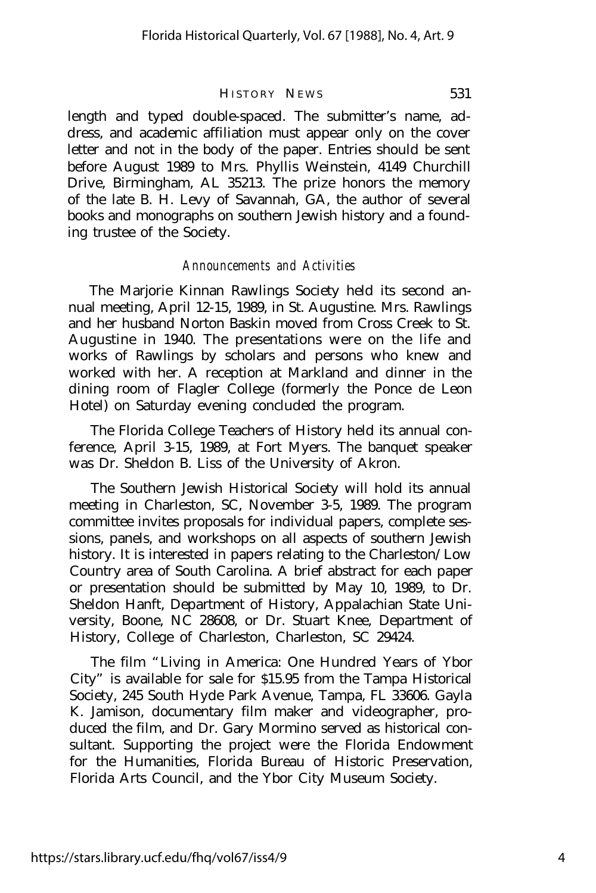length and typed double-spaced. The submitter's name, address, and academic affiliation must appear only on the cover letter and not in the body of the paper. Entries should be sent before August 1989 to Mrs. Phyllis Weinstein, 4149 Churchill Drive, Birmingham, AL 35213. The prize honors the memory of the late B. H. Levy of Savannah, GA, the author of several books and monographs on southern Jewish history and a founding trustee of the Society.

#### *Announcements and Activities*

The Marjorie Kinnan Rawlings Society held its second annual meeting, April 12-15, 1989, in St. Augustine. Mrs. Rawlings and her husband Norton Baskin moved from Cross Creek to St. Augustine in 1940. The presentations were on the life and works of Rawlings by scholars and persons who knew and worked with her. A reception at Markland and dinner in the dining room of Flagler College (formerly the Ponce de Leon Hotel) on Saturday evening concluded the program.

The Florida College Teachers of History held its annual conference, April 3-15, 1989, at Fort Myers. The banquet speaker was Dr. Sheldon B. Liss of the University of Akron.

The Southern Jewish Historical Society will hold its annual meeting in Charleston, SC, November 3-5, 1989. The program committee invites proposals for individual papers, complete sessions, panels, and workshops on all aspects of southern Jewish history. It is interested in papers relating to the Charleston/Low Country area of South Carolina. A brief abstract for each paper or presentation should be submitted by May 10, 1989, to Dr. Sheldon Hanft, Department of History, Appalachian State University, Boone, NC 28608, or Dr. Stuart Knee, Department of History, College of Charleston, Charleston, SC 29424.

The film "Living in America: One Hundred Years of Ybor City" is available for sale for \$15.95 from the Tampa Historical Society, 245 South Hyde Park Avenue, Tampa, FL 33606. Gayla K. Jamison, documentary film maker and videographer, produced the film, and Dr. Gary Mormino served as historical consultant. Supporting the project were the Florida Endowment for the Humanities, Florida Bureau of Historic Preservation, Florida Arts Council, and the Ybor City Museum Society.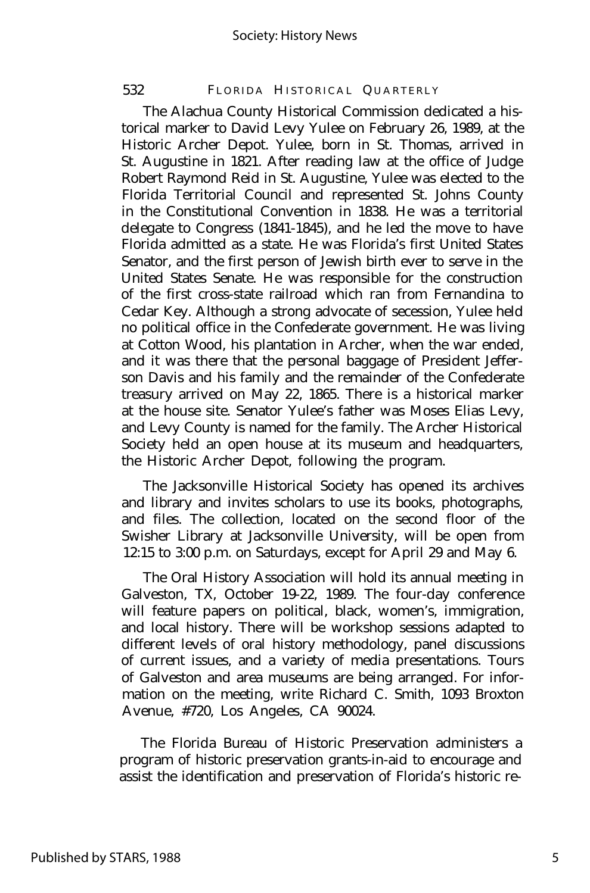#### 532 FLORIDA HISTORICAL QUARTERLY

The Alachua County Historical Commission dedicated a historical marker to David Levy Yulee on February 26, 1989, at the Historic Archer Depot. Yulee, born in St. Thomas, arrived in St. Augustine in 1821. After reading law at the office of Judge Robert Raymond Reid in St. Augustine, Yulee was elected to the Florida Territorial Council and represented St. Johns County in the Constitutional Convention in 1838. He was a territorial delegate to Congress (1841-1845), and he led the move to have Florida admitted as a state. He was Florida's first United States Senator, and the first person of Jewish birth ever to serve in the United States Senate. He was responsible for the construction of the first cross-state railroad which ran from Fernandina to Cedar Key. Although a strong advocate of secession, Yulee held no political office in the Confederate government. He was living at Cotton Wood, his plantation in Archer, when the war ended, and it was there that the personal baggage of President Jefferson Davis and his family and the remainder of the Confederate treasury arrived on May 22, 1865. There is a historical marker at the house site. Senator Yulee's father was Moses Elias Levy, and Levy County is named for the family. The Archer Historical Society held an open house at its museum and headquarters, the Historic Archer Depot, following the program.

The Jacksonville Historical Society has opened its archives and library and invites scholars to use its books, photographs, and files. The collection, located on the second floor of the Swisher Library at Jacksonville University, will be open from 12:15 to 3:00 p.m. on Saturdays, except for April 29 and May 6.

The Oral History Association will hold its annual meeting in Galveston, TX, October 19-22, 1989. The four-day conference will feature papers on political, black, women's, immigration, and local history. There will be workshop sessions adapted to different levels of oral history methodology, panel discussions of current issues, and a variety of media presentations. Tours of Galveston and area museums are being arranged. For information on the meeting, write Richard C. Smith, 1093 Broxton Avenue, #720, Los Angeles, CA 90024.

The Florida Bureau of Historic Preservation administers a program of historic preservation grants-in-aid to encourage and assist the identification and preservation of Florida's historic re-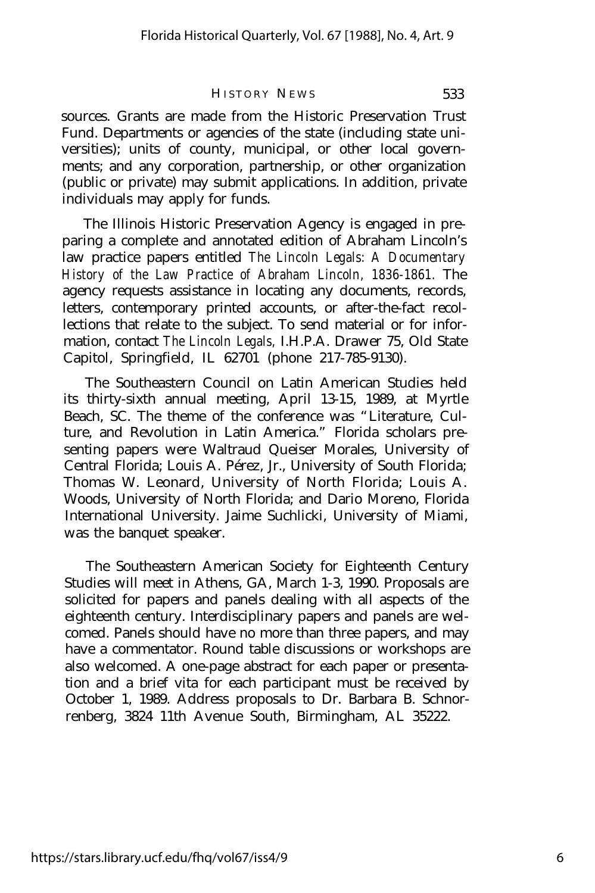sources. Grants are made from the Historic Preservation Trust Fund. Departments or agencies of the state (including state universities); units of county, municipal, or other local governments; and any corporation, partnership, or other organization (public or private) may submit applications. In addition, private individuals may apply for funds.

The Illinois Historic Preservation Agency is engaged in preparing a complete and annotated edition of Abraham Lincoln's law practice papers entitled *The Lincoln Legals: A Documentary History of the Law Practice of Abraham Lincoln, 1836-1861.* The agency requests assistance in locating any documents, records, letters, contemporary printed accounts, or after-the-fact recollections that relate to the subject. To send material or for information, contact *The Lincoln Legals,* I.H.P.A. Drawer 75, Old State Capitol, Springfield, IL 62701 (phone 217-785-9130).

The Southeastern Council on Latin American Studies held its thirty-sixth annual meeting, April 13-15, 1989, at Myrtle Beach, SC. The theme of the conference was "Literature, Culture, and Revolution in Latin America." Florida scholars presenting papers were Waltraud Queiser Morales, University of Central Florida; Louis A. Pérez, Jr., University of South Florida; Thomas W. Leonard, University of North Florida; Louis A. Woods, University of North Florida; and Dario Moreno, Florida International University. Jaime Suchlicki, University of Miami, was the banquet speaker.

The Southeastern American Society for Eighteenth Century Studies will meet in Athens, GA, March 1-3, 1990. Proposals are solicited for papers and panels dealing with all aspects of the eighteenth century. Interdisciplinary papers and panels are welcomed. Panels should have no more than three papers, and may have a commentator. Round table discussions or workshops are also welcomed. A one-page abstract for each paper or presentation and a brief vita for each participant must be received by October 1, 1989. Address proposals to Dr. Barbara B. Schnorrenberg, 3824 11th Avenue South, Birmingham, AL 35222.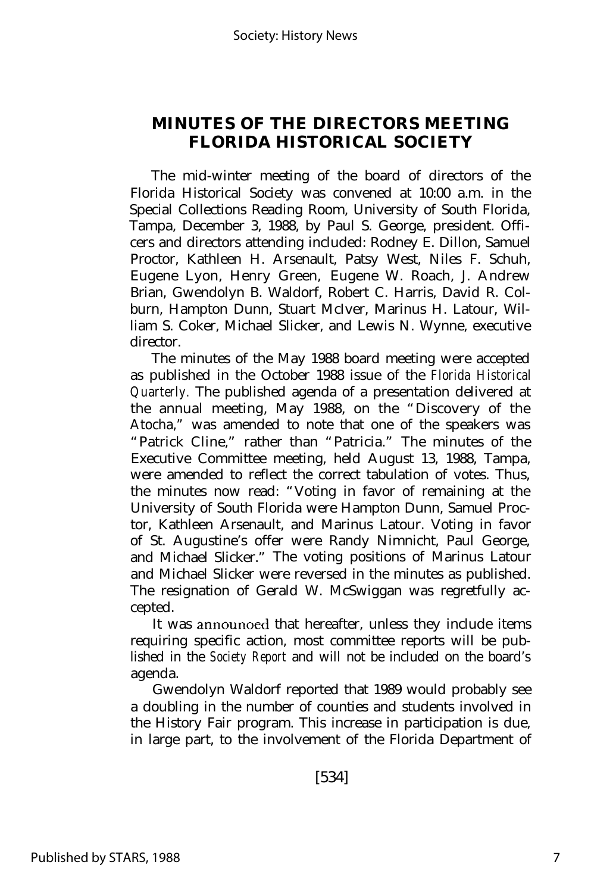# **MINUTES OF THE DIRECTORS MEETING FLORIDA HISTORICAL SOCIETY**

The mid-winter meeting of the board of directors of the Florida Historical Society was convened at 10:00 a.m. in the Special Collections Reading Room, University of South Florida, Tampa, December 3, 1988, by Paul S. George, president. Officers and directors attending included: Rodney E. Dillon, Samuel Proctor, Kathleen H. Arsenault, Patsy West, Niles F. Schuh, Eugene Lyon, Henry Green, Eugene W. Roach, J. Andrew Brian, Gwendolyn B. Waldorf, Robert C. Harris, David R. Colburn, Hampton Dunn, Stuart McIver, Marinus H. Latour, William S. Coker, Michael Slicker, and Lewis N. Wynne, executive director.

The minutes of the May 1988 board meeting were accepted as published in the October 1988 issue of the *Florida Historical Quarterly.* The published agenda of a presentation delivered at the annual meeting, May 1988, on the "Discovery of the Atocha," was amended to note that one of the speakers was "Patrick Cline," rather than "Patricia." The minutes of the Executive Committee meeting, held August 13, 1988, Tampa, were amended to reflect the correct tabulation of votes. Thus, the minutes now read: "Voting in favor of remaining at the University of South Florida were Hampton Dunn, Samuel Proctor, Kathleen Arsenault, and Marinus Latour. Voting in favor of St. Augustine's offer were Randy Nimnicht, Paul George, and Michael Slicker." The voting positions of Marinus Latour and Michael Slicker were reversed in the minutes as published. The resignation of Gerald W. McSwiggan was regretfully accepted.

It was announoed that hereafter, unless they include items requiring specific action, most committee reports will be published in the *Society Report* and will not be included on the board's agenda.

Gwendolyn Waldorf reported that 1989 would probably see a doubling in the number of counties and students involved in the History Fair program. This increase in participation is due, in large part, to the involvement of the Florida Department of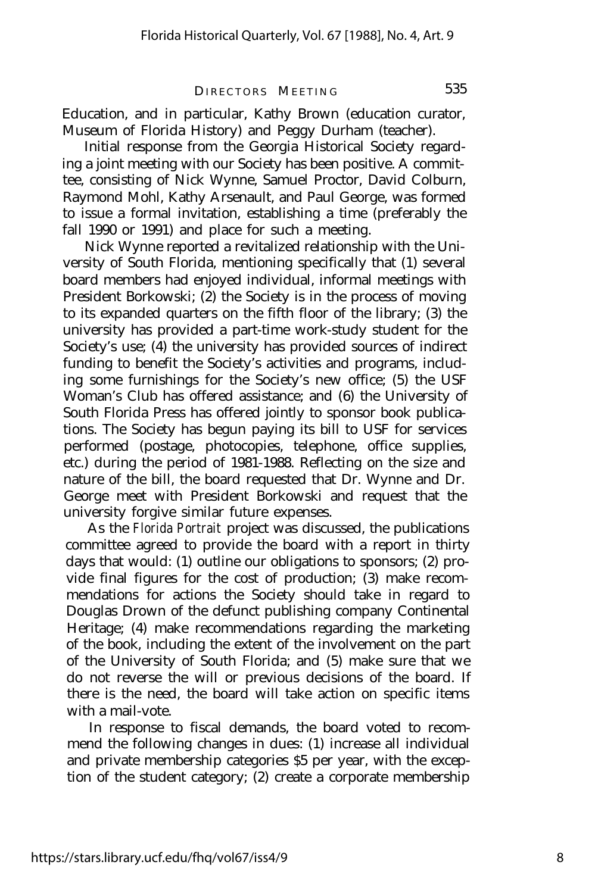DIRECTORS MEETING 535

Education, and in particular, Kathy Brown (education curator, Museum of Florida History) and Peggy Durham (teacher).

Initial response from the Georgia Historical Society regarding a joint meeting with our Society has been positive. A committee, consisting of Nick Wynne, Samuel Proctor, David Colburn, Raymond Mohl, Kathy Arsenault, and Paul George, was formed to issue a formal invitation, establishing a time (preferably the fall 1990 or 1991) and place for such a meeting.

Nick Wynne reported a revitalized relationship with the University of South Florida, mentioning specifically that (1) several board members had enjoyed individual, informal meetings with President Borkowski; (2) the Society is in the process of moving to its expanded quarters on the fifth floor of the library; (3) the university has provided a part-time work-study student for the Society's use; (4) the university has provided sources of indirect funding to benefit the Society's activities and programs, including some furnishings for the Society's new office; (5) the USF Woman's Club has offered assistance; and (6) the University of South Florida Press has offered jointly to sponsor book publications. The Society has begun paying its bill to USF for services performed (postage, photocopies, telephone, office supplies, etc.) during the period of 1981-1988. Reflecting on the size and nature of the bill, the board requested that Dr. Wynne and Dr. George meet with President Borkowski and request that the university forgive similar future expenses.

As the *Florida Portrait* project was discussed, the publications committee agreed to provide the board with a report in thirty days that would: (1) outline our obligations to sponsors; (2) provide final figures for the cost of production; (3) make recommendations for actions the Society should take in regard to Douglas Drown of the defunct publishing company Continental Heritage; (4) make recommendations regarding the marketing of the book, including the extent of the involvement on the part of the University of South Florida; and (5) make sure that we do not reverse the will or previous decisions of the board. If there is the need, the board will take action on specific items with a mail-vote.

In response to fiscal demands, the board voted to recommend the following changes in dues: (1) increase all individual and private membership categories \$5 per year, with the exception of the student category; (2) create a corporate membership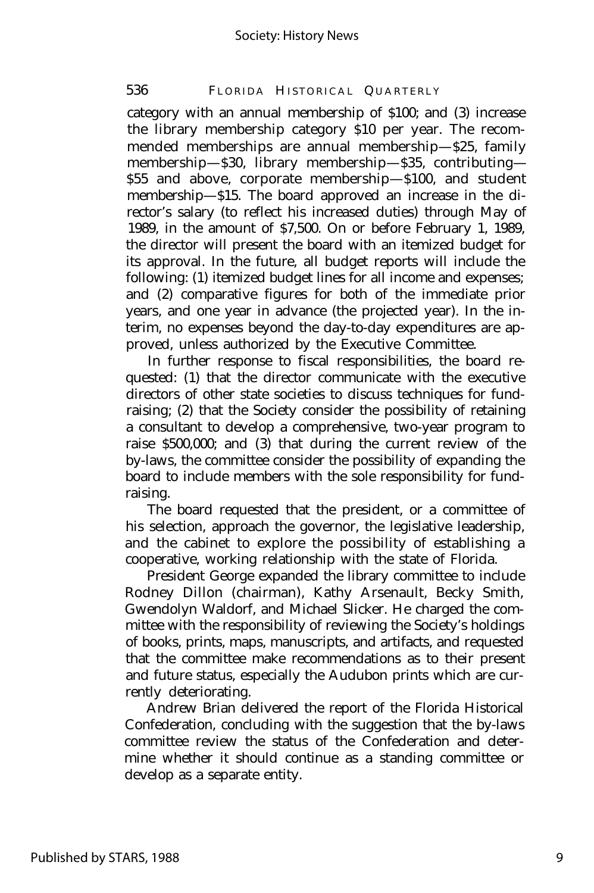## 536 FLORIDA HISTORICAL QUARTERLY

category with an annual membership of \$100; and (3) increase the library membership category \$10 per year. The recommended memberships are annual membership— \$25, family membership— \$30, library membership— \$35, contributing— \$55 and above, corporate membership— \$100, and student membership— \$15. The board approved an increase in the director's salary (to reflect his increased duties) through May of 1989, in the amount of \$7,500. On or before February 1, 1989, the director will present the board with an itemized budget for its approval. In the future, all budget reports will include the following: (1) itemized budget lines for all income and expenses; and (2) comparative figures for both of the immediate prior years, and one year in advance (the projected year). In the interim, no expenses beyond the day-to-day expenditures are approved, unless authorized by the Executive Committee.

In further response to fiscal responsibilities, the board requested: (1) that the director communicate with the executive directors of other state societies to discuss techniques for fundraising; (2) that the Society consider the possibility of retaining a consultant to develop a comprehensive, two-year program to raise \$500,000; and (3) that during the current review of the by-laws, the committee consider the possibility of expanding the board to include members with the sole responsibility for fundraising.

The board requested that the president, or a committee of his selection, approach the governor, the legislative leadership, and the cabinet to explore the possibility of establishing a cooperative, working relationship with the state of Florida.

President George expanded the library committee to include Rodney Dillon (chairman), Kathy Arsenault, Becky Smith, Gwendolyn Waldorf, and Michael Slicker. He charged the committee with the responsibility of reviewing the Society's holdings of books, prints, maps, manuscripts, and artifacts, and requested that the committee make recommendations as to their present and future status, especially the Audubon prints which are currently deteriorating.

Andrew Brian delivered the report of the Florida Historical Confederation, concluding with the suggestion that the by-laws committee review the status of the Confederation and determine whether it should continue as a standing committee or develop as a separate entity.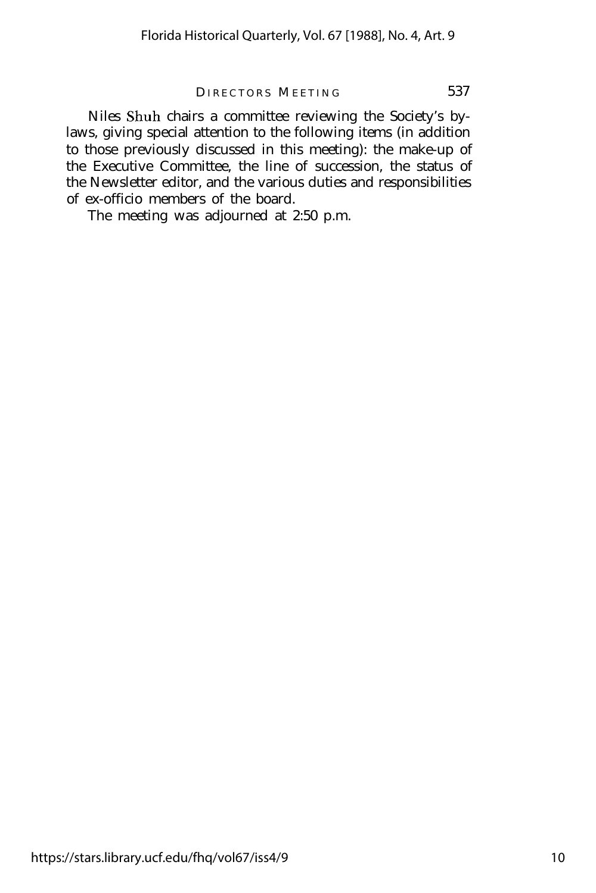#### DIRECTORS MEETING 537

Niles Shuh chairs a committee reviewing the Society's bylaws, giving special attention to the following items (in addition to those previously discussed in this meeting): the make-up of the Executive Committee, the line of succession, the status of the Newsletter editor, and the various duties and responsibilities of ex-officio members of the board.

The meeting was adjourned at 2:50 p.m.

https://stars.library.ucf.edu/fhq/vol67/iss4/9